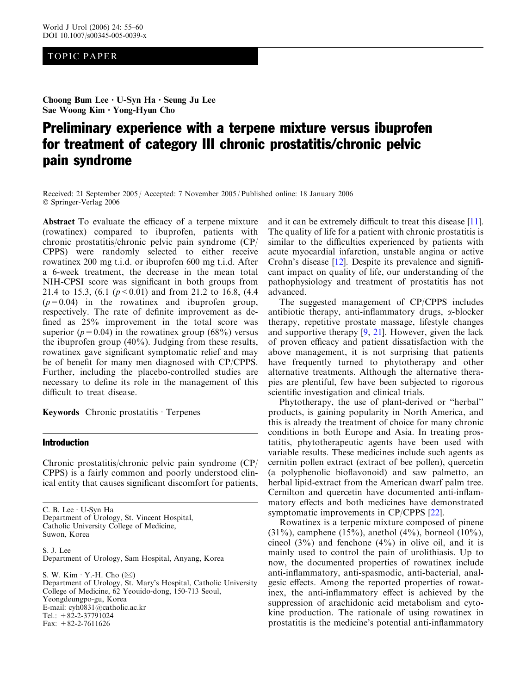# TOPIC PAPER

Choong Bum Lee · U-Syn Ha · Seung Ju Lee Sae Woong Kim · Yong-Hyun Cho

# Preliminary experience with a terpene mixture versus ibuprofen for treatment of category III chronic prostatitis/chronic pelvic pain syndrome

Received: 21 September 2005 / Accepted: 7 November 2005 / Published online: 18 January 2006 Springer-Verlag 2006

Abstract To evaluate the efficacy of a terpene mixture (rowatinex) compared to ibuprofen, patients with chronic prostatitis/chronic pelvic pain syndrome (CP/ CPPS) were randomly selected to either receive rowatinex 200 mg t.i.d. or ibuprofen 600 mg t.i.d. After a 6-week treatment, the decrease in the mean total NIH-CPSI score was significant in both groups from 21.4 to 15.3, (6.1 ( $p < 0.01$ ) and from 21.2 to 16.8, (4.4)  $(p=0.04)$  in the rowatinex and ibuprofen group, respectively. The rate of definite improvement as defined as 25% improvement in the total score was superior ( $p=0.04$ ) in the rowatinex group (68%) versus the ibuprofen group (40%). Judging from these results, rowatinex gave significant symptomatic relief and may be of benefit for many men diagnosed with CP/CPPS. Further, including the placebo-controlled studies are necessary to define its role in the management of this difficult to treat disease.

Keywords Chronic prostatitis  $\cdot$  Terpenes

# Introduction

Chronic prostatitis/chronic pelvic pain syndrome (CP/ CPPS) is a fairly common and poorly understood clinical entity that causes significant discomfort for patients,

C. B. Lee  $\cdot$  U-Syn Ha Department of Urology, St. Vincent Hospital, Catholic University College of Medicine, Suwon, Korea

S. J. Lee Department of Urology, Sam Hospital, Anyang, Korea

S. W. Kim  $\cdot$  Y.-H. Cho ( $\boxtimes$ ) Department of Urology, St. Mary's Hospital, Catholic University College of Medicine, 62 Yeouido-dong, 150-713 Seoul, Yeongdeungpo-gu, Korea E-mail: cyh0831@catholic.ac.kr Tel.:  $+82-2-37791024$ Fax:  $+82-2-7611626$ 

and it can be extremely difficult to treat this disease [\[11\]](#page-5-0). The quality of life for a patient with chronic prostatitis is similar to the difficulties experienced by patients with acute myocardial infarction, unstable angina or active Crohn's disease [\[12\]](#page-5-0). Despite its prevalence and significant impact on quality of life, our understanding of the pathophysiology and treatment of prostatitis has not advanced.

The suggested management of CP/CPPS includes antibiotic therapy, anti-inflammatory drugs,  $\alpha$ -blocker therapy, repetitive prostate massage, lifestyle changes and supportive therapy [\[9](#page-5-0), [21](#page-5-0)]. However, given the lack of proven efficacy and patient dissatisfaction with the above management, it is not surprising that patients have frequently turned to phytotherapy and other alternative treatments. Although the alternative therapies are plentiful, few have been subjected to rigorous scientific investigation and clinical trials.

Phytotherapy, the use of plant-derived or ''herbal'' products, is gaining popularity in North America, and this is already the treatment of choice for many chronic conditions in both Europe and Asia. In treating prostatitis, phytotherapeutic agents have been used with variable results. These medicines include such agents as cernitin pollen extract (extract of bee pollen), quercetin (a polyphenolic bioflavonoid) and saw palmetto, an herbal lipid-extract from the American dwarf palm tree. Cernilton and quercetin have documented anti-inflammatory effects and both medicines have demonstrated symptomatic improvements in CP/CPPS [\[22](#page-5-0)].

Rowatinex is a terpenic mixture composed of pinene  $(31\%)$ , camphene  $(15\%)$ , anethol  $(4\%)$ , borneol  $(10\%)$ , cineol  $(3\%)$  and fenchone  $(4\%)$  in olive oil, and it is mainly used to control the pain of urolithiasis. Up to now, the documented properties of rowatinex include anti-inflammatory, anti-spasmodic, anti-bacterial, analgesic effects. Among the reported properties of rowatinex, the anti-inflammatory effect is achieved by the suppression of arachidonic acid metabolism and cytokine production. The rationale of using rowatinex in prostatitis is the medicine's potential anti-inflammatory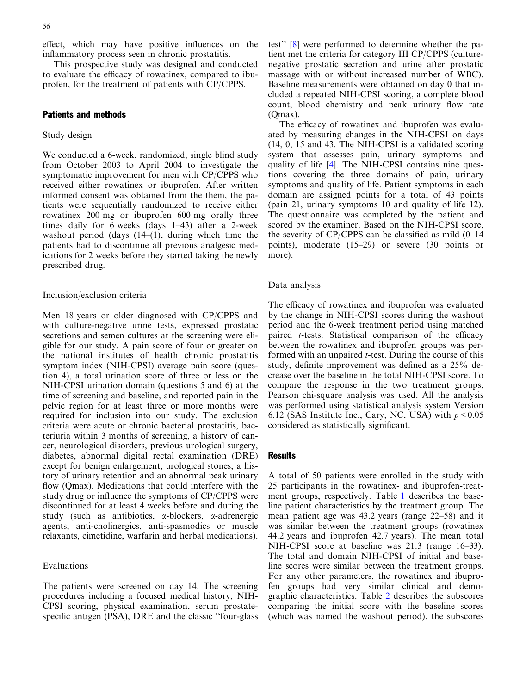effect, which may have positive influences on the inflammatory process seen in chronic prostatitis.

This prospective study was designed and conducted to evaluate the efficacy of rowatinex, compared to ibuprofen, for the treatment of patients with CP/CPPS.

# Patients and methods

# Study design

We conducted a 6-week, randomized, single blind study from October 2003 to April 2004 to investigate the symptomatic improvement for men with CP/CPPS who received either rowatinex or ibuprofen. After written informed consent was obtained from the them, the patients were sequentially randomized to receive either rowatinex 200 mg or ibuprofen 600 mg orally three times daily for 6 weeks (days 1–43) after a 2-week washout period (days  $(14-(1))$ , during which time the patients had to discontinue all previous analgesic medications for 2 weeks before they started taking the newly prescribed drug.

### Inclusion/exclusion criteria

Men 18 years or older diagnosed with CP/CPPS and with culture-negative urine tests, expressed prostatic secretions and semen cultures at the screening were eligible for our study. A pain score of four or greater on the national institutes of health chronic prostatitis symptom index (NIH-CPSI) average pain score (question 4), a total urination score of three or less on the NIH-CPSI urination domain (questions 5 and 6) at the time of screening and baseline, and reported pain in the pelvic region for at least three or more months were required for inclusion into our study. The exclusion criteria were acute or chronic bacterial prostatitis, bacteriuria within 3 months of screening, a history of cancer, neurological disorders, previous urological surgery, diabetes, abnormal digital rectal examination (DRE) except for benign enlargement, urological stones, a history of urinary retention and an abnormal peak urinary flow (Qmax). Medications that could interfere with the study drug or influence the symptoms of CP/CPPS were discontinued for at least 4 weeks before and during the study (such as antibiotics,  $\alpha$ -blockers,  $\alpha$ -adrenergic agents, anti-cholinergics, anti-spasmodics or muscle relaxants, cimetidine, warfarin and herbal medications).

## Evaluations

The patients were screened on day 14. The screening procedures including a focused medical history, NIH-CPSI scoring, physical examination, serum prostatespecific antigen (PSA), DRE and the classic ''four-glass test'' [[8\]](#page-5-0) were performed to determine whether the patient met the criteria for category III CP/CPPS (culturenegative prostatic secretion and urine after prostatic massage with or without increased number of WBC). Baseline measurements were obtained on day 0 that included a repeated NIH-CPSI scoring, a complete blood count, blood chemistry and peak urinary flow rate (Qmax).

The efficacy of rowatinex and ibuprofen was evaluated by measuring changes in the NIH-CPSI on days (14, 0, 15 and 43. The NIH-CPSI is a validated scoring system that assesses pain, urinary symptoms and quality of life [\[4](#page-5-0)]. The NIH-CPSI contains nine questions covering the three domains of pain, urinary symptoms and quality of life. Patient symptoms in each domain are assigned points for a total of 43 points (pain 21, urinary symptoms 10 and quality of life 12). The questionnaire was completed by the patient and scored by the examiner. Based on the NIH-CPSI score, the severity of CP/CPPS can be classified as mild (0–14 points), moderate (15–29) or severe (30 points or more).

### Data analysis

The efficacy of rowatinex and ibuprofen was evaluated by the change in NIH-CPSI scores during the washout period and the 6-week treatment period using matched paired t-tests. Statistical comparison of the efficacy between the rowatinex and ibuprofen groups was performed with an unpaired *t*-test. During the course of this study, definite improvement was defined as a 25% decrease over the baseline in the total NIH-CPSI score. To compare the response in the two treatment groups, Pearson chi-square analysis was used. All the analysis was performed using statistical analysis system Version 6.12 (SAS Institute Inc., Cary, NC, USA) with  $p < 0.05$ considered as statistically significant.

#### **Results**

A total of 50 patients were enrolled in the study with 25 participants in the rowatinex- and ibuprofen-treatment groups, respectively. Table [1](#page-2-0) describes the baseline patient characteristics by the treatment group. The mean patient age was 43.2 years (range 22–58) and it was similar between the treatment groups (rowatinex 44.2 years and ibuprofen 42.7 years). The mean total NIH-CPSI score at baseline was 21.3 (range 16–33). The total and domain NIH-CPSI of initial and baseline scores were similar between the treatment groups. For any other parameters, the rowatinex and ibuprofen groups had very similar clinical and demographic characteristics. Table [2](#page-2-0) describes the subscores comparing the initial score with the baseline scores (which was named the washout period), the subscores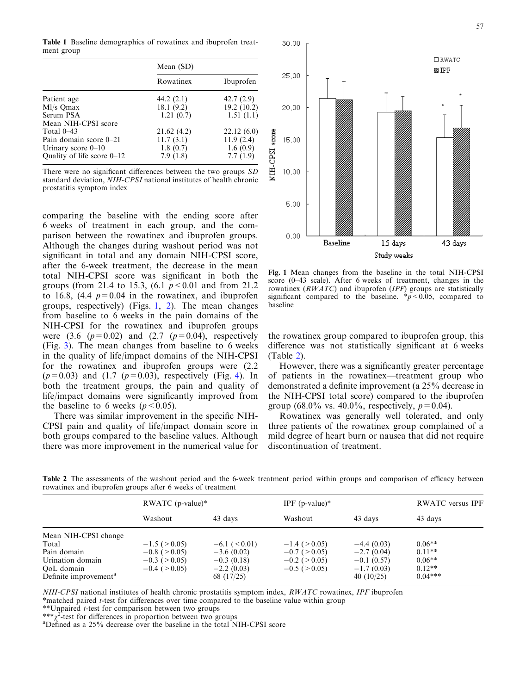<span id="page-2-0"></span>Table 1 Baseline demographics of rowatinex and ibuprofen treatment group

|                              | Mean (SD)  |            |  |
|------------------------------|------------|------------|--|
|                              | Rowatinex  | Ibuprofen  |  |
| Patient age                  | 44.2(2.1)  | 42.7(2.9)  |  |
| Ml/s Qmax                    | 18.1(9.2)  | 19.2(10.2) |  |
| Serum PSA                    | 1.21(0.7)  | 1.51(1.1)  |  |
| Mean NIH-CPSI score          |            |            |  |
| Total $0-43$                 | 21.62(4.2) | 22.12(6.0) |  |
| Pain domain score 0–21       | 11.7(3.1)  | 11.9(2.4)  |  |
| Urinary score $0-10$         | 1.8(0.7)   | 1.6(0.9)   |  |
| Quality of life score $0-12$ | 7.9(1.8)   | 7.7(1.9)   |  |

There were no significant differences between the two groups SD standard deviation, NIH-CPSI national institutes of health chronic prostatitis symptom index

comparing the baseline with the ending score after 6 weeks of treatment in each group, and the comparison between the rowatinex and ibuprofen groups. Although the changes during washout period was not significant in total and any domain NIH-CPSI score, after the 6-week treatment, the decrease in the mean total NIH-CPSI score was significant in both the groups (from 21.4 to 15.3,  $(6.1 \, p \le 0.01$  and from 21.2 to 16.8, (4.4  $p=0.04$  in the rowatinex, and ibuprofen groups, respectively) (Figs. 1, [2](#page-3-0)). The mean changes from baseline to 6 weeks in the pain domains of the NIH-CPSI for the rowatinex and ibuprofen groups were  $(3.6 \text{ } (p=0.02) \text{ and } (2.7 \text{ } (p=0.04) \text{, respectively})$ (Fig. [3](#page-3-0)). The mean changes from baseline to 6 weeks in the quality of life/impact domains of the NIH-CPSI for the rowatinex and ibuprofen groups were (2.2  $(p=0.03)$  and  $(1.7 \, (p=0.03)$ , respectively (Fig. [4\)](#page-3-0). In both the treatment groups, the pain and quality of life/impact domains were significantly improved from the baseline to 6 weeks ( $p < 0.05$ ).

There was similar improvement in the specific NIH-CPSI pain and quality of life/impact domain score in both groups compared to the baseline values. Although there was more improvement in the numerical value for



score (0–43 scale). After 6 weeks of treatment, changes in the rowatinex  $(RWATC)$  and ibuprofen (IPF) groups are statistically significant compared to the baseline.  $\frac{*p}{0.05}$ , compared to baseline

the rowatinex group compared to ibuprofen group, this difference was not statistically significant at 6 weeks (Table 2).

However, there was a significantly greater percentage of patients in the rowatinex—treatment group who demonstrated a definite improvement (a 25% decrease in the NIH-CPSI total score) compared to the ibuprofen group (68.0% vs. 40.0%, respectively,  $p=0.04$ ).

Rowatinex was generally well tolerated, and only three patients of the rowatinex group complained of a mild degree of heart burn or nausea that did not require discontinuation of treatment.

|                                                                                                                     | RWATC $(p-value)*$                                                                                   |                                                                                      | IPF $(p-value)*$                                                                               |                                                                              | <b>RWATC</b> versus IPF                                   |  |
|---------------------------------------------------------------------------------------------------------------------|------------------------------------------------------------------------------------------------------|--------------------------------------------------------------------------------------|------------------------------------------------------------------------------------------------|------------------------------------------------------------------------------|-----------------------------------------------------------|--|
|                                                                                                                     | Washout                                                                                              | 43 days                                                                              | Washout                                                                                        | 43 days                                                                      | 43 days                                                   |  |
| Mean NIH-CPSI change<br>Total<br>Pain domain<br>Urination domain<br>OoL domain<br>Definite improvement <sup>a</sup> | $-1.5$ ( $\geq 0.05$ )<br>$-0.8$ ( $\geq 0.05$ )<br>$-0.3$ ( $\geq 0.05$ )<br>$-0.4$ ( $\geq 0.05$ ) | $-6.1$ ( $\leq 0.01$ )<br>$-3.6(0.02)$<br>$-0.3(0.18)$<br>$-2.2(0.03)$<br>68 (17/25) | $-1.4$ ( $> 0.05$ )<br>$-0.7$ ( $> 0.05$ )<br>$-0.2$ ( $\geq 0.05$ )<br>$-0.5$ ( $\geq 0.05$ ) | $-4.4(0.03)$<br>$-2.7(0.04)$<br>$-0.1(0.57)$<br>$-1.7(0.03)$<br>40 $(10/25)$ | $0.06**$<br>$0.11**$<br>$0.06**$<br>$0.12**$<br>$0.04***$ |  |

Table 2 The assessments of the washout period and the 6-week treatment period within groups and comparison of efficacy between rowatinex and ibuprofen groups after 6 weeks of treatment

NIH-CPSI national institutes of health chronic prostatitis symptom index, RWATC rowatinex, IPF ibuprofen

\*matched paired t-test for differences over time compared to the baseline value within group

\*\*Unpaired t-test for comparison between two groups

\*\*\* $\chi^2$ -test for differences in proportion between two groups  $a^2$ -defined as a 25% decrease over the baseline in the total N

Defined as a 25% decrease over the baseline in the total NIH-CPSI score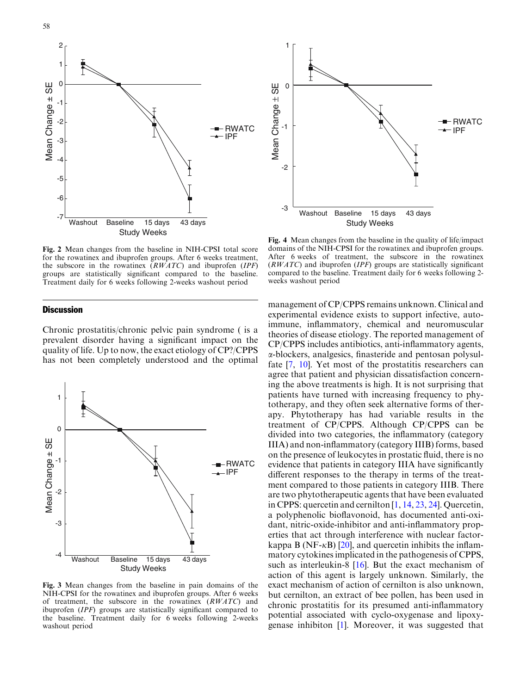<span id="page-3-0"></span>



Fig. 2 Mean changes from the baseline in NIH-CPSI total score for the rowatinex and ibuprofen groups. After 6 weeks treatment, the subscore in the rowatinex  $(RWATC)$  and ibuprofen (IPF) groups are statistically significant compared to the baseline. Treatment daily for 6 weeks following 2-weeks washout period

## **Discussion**

Chronic prostatitis/chronic pelvic pain syndrome ( is a prevalent disorder having a significant impact on the quality of life. Up to now, the exact etiology of CP?/CPPS has not been completely understood and the optimal



Fig. 3 Mean changes from the baseline in pain domains of the NIH-CPSI for the rowatinex and ibuprofen groups. After 6 weeks of treatment, the subscore in the rowatinex (RWATC) and ibuprofen (IPF) groups are statistically significant compared to the baseline. Treatment daily for 6 weeks following 2-weeks washout period



Fig. 4 Mean changes from the baseline in the quality of life/impact domains of the NIH-CPSI for the rowatinex and ibuprofen groups. After 6 weeks of treatment, the subscore in the rowatinex  $(RWATC)$  and ibuprofen (*IPF*) groups are statistically significant compared to the baseline. Treatment daily for 6 weeks following 2 weeks washout period

management of CP/CPPS remains unknown. Clinical and experimental evidence exists to support infective, autoimmune, inflammatory, chemical and neuromuscular theories of disease etiology. The reported management of CP/CPPS includes antibiotics, anti-inflammatory agents, a-blockers, analgesics, finasteride and pentosan polysulfate [\[7](#page-5-0), [10](#page-5-0)]. Yet most of the prostatitis researchers can agree that patient and physician dissatisfaction concerning the above treatments is high. It is not surprising that patients have turned with increasing frequency to phytotherapy, and they often seek alternative forms of therapy. Phytotherapy has had variable results in the treatment of CP/CPPS. Although CP/CPPS can be divided into two categories, the inflammatory (category IIIA) and non-inflammatory (category IIIB) forms, based on the presence of leukocytes in prostatic fluid, there is no evidence that patients in category IIIA have significantly different responses to the therapy in terms of the treatment compared to those patients in category IIIB. There are two phytotherapeutic agents that have been evaluated in CPPS: quercetin and cernilton [[1,](#page-5-0) [14,](#page-5-0) [23](#page-5-0), [24\]](#page-5-0). Quercetin, a polyphenolic bioflavonoid, has documented anti-oxidant, nitric-oxide-inhibitor and anti-inflammatory properties that act through interference with nuclear factorkappa B (NF- $\kappa$ B) [\[20](#page-5-0)], and quercetin inhibits the inflammatory cytokines implicated in the pathogenesis of CPPS, such as interleukin-8 [\[16](#page-5-0)]. But the exact mechanism of action of this agent is largely unknown. Similarly, the exact mechanism of action of cernilton is also unknown, but cernilton, an extract of bee pollen, has been used in chronic prostatitis for its presumed anti-inflammatory potential associated with cyclo-oxygenase and lipoxygenase inhibiton [\[1](#page-5-0)]. Moreover, it was suggested that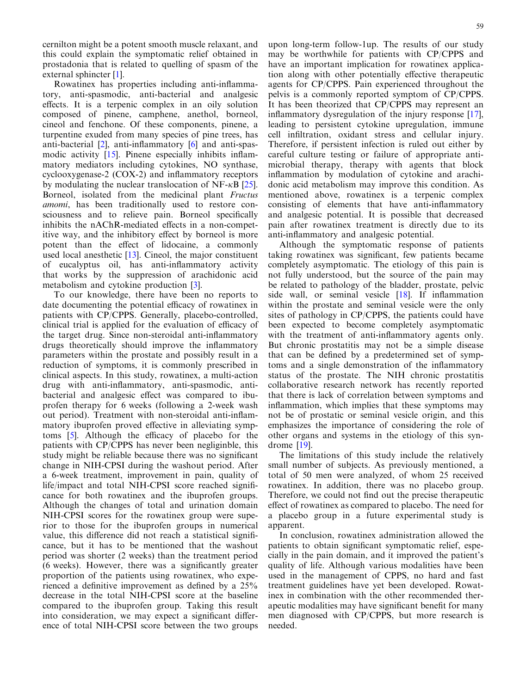cernilton might be a potent smooth muscle relaxant, and this could explain the symptomatic relief obtained in prostadonia that is related to quelling of spasm of the external sphincter [[1\]](#page-5-0).

Rowatinex has properties including anti-inflammatory, anti-spasmodic, anti-bacterial and analgesic effects. It is a terpenic complex in an oily solution composed of pinene, camphene, anethol, borneol, cineol and fenchone. Of these components, pinene, a turpentine exuded from many species of pine trees, has anti-bacterial [[2\]](#page-5-0), anti-inflammatory [[6\]](#page-5-0) and anti-spasmodic activity [[15\]](#page-5-0). Pinene especially inhibits inflammatory mediators including cytokines, NO synthase, cyclooxygenase-2 (COX-2) and inflammatory receptors by modulating the nuclear translocation of NF- $\kappa$ B [\[25](#page-5-0)]. Borneol, isolated from the medicinal plant Fructus amomi, has been traditionally used to restore consciousness and to relieve pain. Borneol specifically inhibits the nAChR-mediated effects in a non-competitive way, and the inhibitory effect by borneol is more potent than the effect of lidocaine, a commonly used local anesthetic [\[13](#page-5-0)]. Cineol, the major constituent of eucalyptus oil, has anti-inflammatory activity that works by the suppression of arachidonic acid metabolism and cytokine production [[3\]](#page-5-0).

To our knowledge, there have been no reports to date documenting the potential efficacy of rowatinex in patients with CP/CPPS. Generally, placebo-controlled, clinical trial is applied for the evaluation of efficacy of the target drug. Since non-steroidal anti-inflammatory drugs theoretically should improve the inflammatory parameters within the prostate and possibly result in a reduction of symptoms, it is commonly prescribed in clinical aspects. In this study, rowatinex, a multi-action drug with anti-inflammatory, anti-spasmodic, antibacterial and analgesic effect was compared to ibuprofen therapy for 6 weeks (following a 2-week wash out period). Treatment with non-steroidal anti-inflammatory ibuprofen proved effective in alleviating symptoms [[5\]](#page-5-0). Although the efficacy of placebo for the patients with CP/CPPS has never been negliginble, this study might be reliable because there was no significant change in NIH-CPSI during the washout period. After a 6-week treatment, improvement in pain, quality of life/impact and total NIH-CPSI score reached significance for both rowatinex and the ibuprofen groups. Although the changes of total and urination domain NIH-CPSI scores for the rowatinex group were superior to those for the ibuprofen groups in numerical value, this difference did not reach a statistical significance, but it has to be mentioned that the washout period was shorter (2 weeks) than the treatment period (6 weeks). However, there was a significantly greater proportion of the patients using rowatinex, who experienced a definitive improvement as defined by a 25% decrease in the total NIH-CPSI score at the baseline compared to the ibuprofen group. Taking this result into consideration, we may expect a significant difference of total NIH-CPSI score between the two groups

upon long-term follow-1up. The results of our study may be worthwhile for patients with CP/CPPS and have an important implication for rowatinex application along with other potentially effective therapeutic agents for CP/CPPS. Pain experienced throughout the pelvis is a commonly reported symptom of CP/CPPS. It has been theorized that CP/CPPS may represent an inflammatory dysregulation of the injury response [\[17\]](#page-5-0), leading to persistent cytokine upregulation, immune cell infiltration, oxidant stress and cellular injury. Therefore, if persistent infection is ruled out either by careful culture testing or failure of appropriate antimicrobial therapy, therapy with agents that block inflammation by modulation of cytokine and arachidonic acid metabolism may improve this condition. As mentioned above, rowatinex is a terpenic complex consisting of elements that have anti-inflammatory and analgesic potential. It is possible that decreased pain after rowatinex treatment is directly due to its anti-inflammatory and analgesic potential.

Although the symptomatic response of patients taking rowatinex was significant, few patients became completely asymptomatic. The etiology of this pain is not fully understood, but the source of the pain may be related to pathology of the bladder, prostate, pelvic side wall, or seminal vesicle [\[18](#page-5-0)]. If inflammation within the prostate and seminal vesicle were the only sites of pathology in CP/CPPS, the patients could have been expected to become completely asymptomatic with the treatment of anti-inflammatory agents only. But chronic prostatitis may not be a simple disease that can be defined by a predetermined set of symptoms and a single demonstration of the inflammatory status of the prostate. The NIH chronic prostatitis collaborative research network has recently reported that there is lack of correlation between symptoms and inflammation, which implies that these symptoms may not be of prostatic or seminal vesicle origin, and this emphasizes the importance of considering the role of other organs and systems in the etiology of this syndrome [\[19](#page-5-0)].

The limitations of this study include the relatively small number of subjects. As previously mentioned, a total of 50 men were analyzed, of whom 25 received rowatinex. In addition, there was no placebo group. Therefore, we could not find out the precise therapeutic effect of rowatinex as compared to placebo. The need for a placebo group in a future experimental study is apparent.

In conclusion, rowatinex administration allowed the patients to obtain significant symptomatic relief, especially in the pain domain, and it improved the patient's quality of life. Although various modalities have been used in the management of CPPS, no hard and fast treatment guidelines have yet been developed. Rowatinex in combination with the other recommended therapeutic modalities may have significant benefit for many men diagnosed with CP/CPPS, but more research is needed.